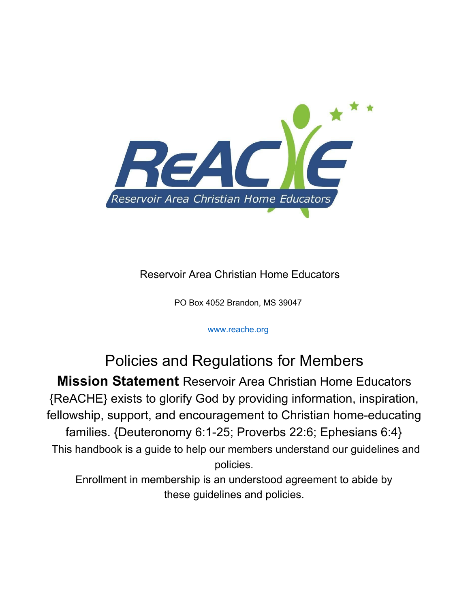

Reservoir Area Christian Home Educators

PO Box 4052 Brandon, MS 39047

#### www.reache.org

### Policies and Regulations for Members **Mission Statement** Reservoir Area Christian Home Educators {ReACHE} exists to glorify God by providing information, inspiration, fellowship, support, and encouragement to Christian home-educating families. {Deuteronomy 6:1-25; Proverbs 22:6; Ephesians 6:4} This handbook is a guide to help our members understand our guidelines and policies. Enrollment in membership is an understood agreement to abide by these guidelines and policies.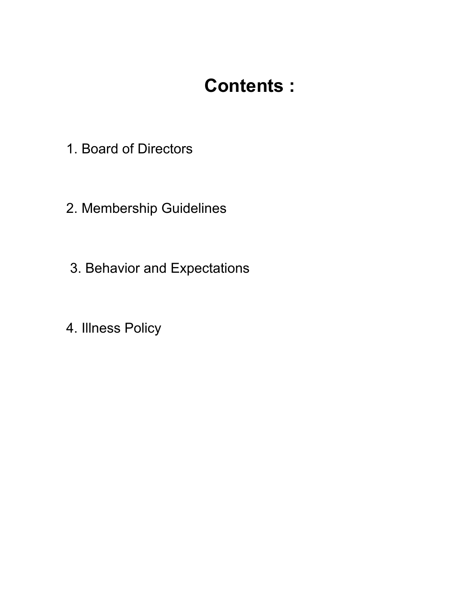# **Contents :**

- 1. Board of Directors
- 2. Membership Guidelines
- 3. Behavior and Expectations
- 4. Illness Policy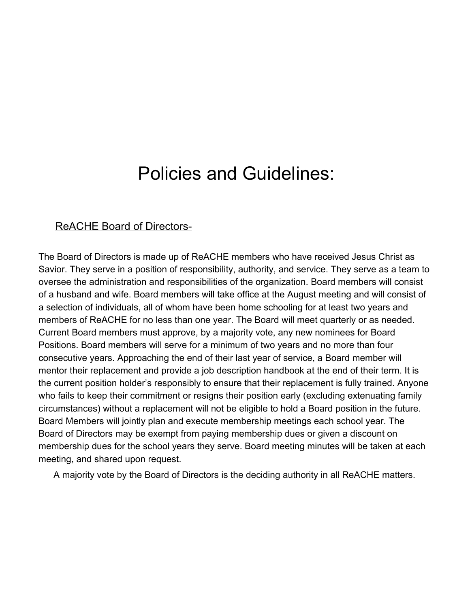## Policies and Guidelines:

#### ReACHE Board of Directors-

The Board of Directors is made up of ReACHE members who have received Jesus Christ as Savior. They serve in a position of responsibility, authority, and service. They serve as a team to oversee the administration and responsibilities of the organization. Board members will consist of a husband and wife. Board members will take office at the August meeting and will consist of a selection of individuals, all of whom have been home schooling for at least two years and members of ReACHE for no less than one year. The Board will meet quarterly or as needed. Current Board members must approve, by a majority vote, any new nominees for Board Positions. Board members will serve for a minimum of two years and no more than four consecutive years. Approaching the end of their last year of service, a Board member will mentor their replacement and provide a job description handbook at the end of their term. It is the current position holder's responsibly to ensure that their replacement is fully trained. Anyone who fails to keep their commitment or resigns their position early (excluding extenuating family circumstances) without a replacement will not be eligible to hold a Board position in the future. Board Members will jointly plan and execute membership meetings each school year. The Board of Directors may be exempt from paying membership dues or given a discount on membership dues for the school years they serve. Board meeting minutes will be taken at each meeting, and shared upon request.

A majority vote by the Board of Directors is the deciding authority in all ReACHE matters.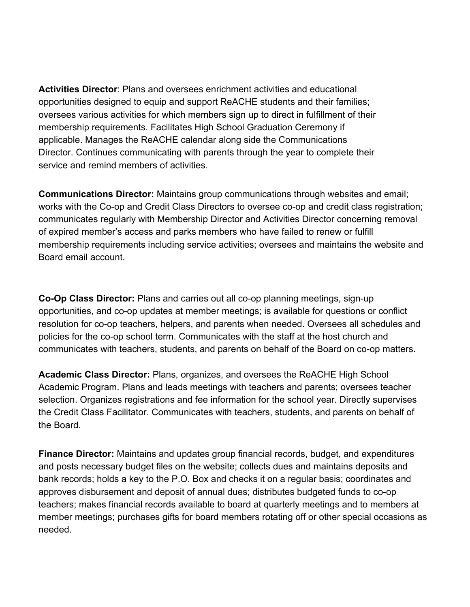**Activities Director**: Plans and oversees enrichment activities and educational opportunities designed to equip and support ReACHE students and their families; oversees various activities for which members sign up to direct in fulfillment of their membership requirements. Facilitates High School Graduation Ceremony if applicable. Manages the ReACHE calendar along side the Communications Director. Continues communicating with parents through the year to complete their service and remind members of activities.

**Communications Director:** Maintains group communications through websites and email; works with the Co-op and Credit Class Directors to oversee co-op and credit class registration; communicates regularly with Membership Director and Activities Director concerning removal of expired member's access and parks members who have failed to renew or fulfill membership requirements including service activities; oversees and maintains the website and Board email account.

**Co-Op Class Director:** Plans and carries out all co-op planning meetings, sign-up opportunities, and co-op updates at member meetings; is available for questions or conflict resolution for co-op teachers, helpers, and parents when needed. Oversees all schedules and policies for the co-op school term. Communicates with the staff at the host church and communicates with teachers, students, and parents on behalf of the Board on co-op matters.

**Academic Class Director:** Plans, organizes, and oversees the ReACHE High School Academic Program. Plans and leads meetings with teachers and parents; oversees teacher selection. Organizes registrations and fee information for the school year. Directly supervises the Credit Class Facilitator. Communicates with teachers, students, and parents on behalf of the Board.

**Finance Director:** Maintains and updates group financial records, budget, and expenditures and posts necessary budget files on the website; collects dues and maintains deposits and bank records; holds a key to the P.O. Box and checks it on a regular basis; coordinates and approves disbursement and deposit of annual dues; distributes budgeted funds to co-op teachers; makes financial records available to board at quarterly meetings and to members at member meetings; purchases gifts for board members rotating off or other special occasions as needed.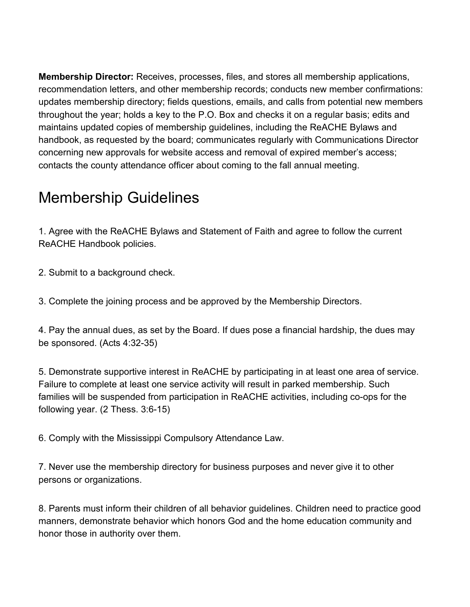**Membership Director:** Receives, processes, files, and stores all membership applications, recommendation letters, and other membership records; conducts new member confirmations: updates membership directory; fields questions, emails, and calls from potential new members throughout the year; holds a key to the P.O. Box and checks it on a regular basis; edits and maintains updated copies of membership guidelines, including the ReACHE Bylaws and handbook, as requested by the board; communicates regularly with Communications Director concerning new approvals for website access and removal of expired member's access; contacts the county attendance officer about coming to the fall annual meeting.

## Membership Guidelines

1. Agree with the ReACHE Bylaws and Statement of Faith and agree to follow the current ReACHE Handbook policies.

2. Submit to a background check.

3. Complete the joining process and be approved by the Membership Directors.

4. Pay the annual dues, as set by the Board. If dues pose a financial hardship, the dues may be sponsored. (Acts 4:32-35)

5. Demonstrate supportive interest in ReACHE by participating in at least one area of service. Failure to complete at least one service activity will result in parked membership. Such families will be suspended from participation in ReACHE activities, including co-ops for the following year. (2 Thess. 3:6-15)

6. Comply with the Mississippi Compulsory Attendance Law.

7. Never use the membership directory for business purposes and never give it to other persons or organizations.

8. Parents must inform their children of all behavior guidelines. Children need to practice good manners, demonstrate behavior which honors God and the home education community and honor those in authority over them.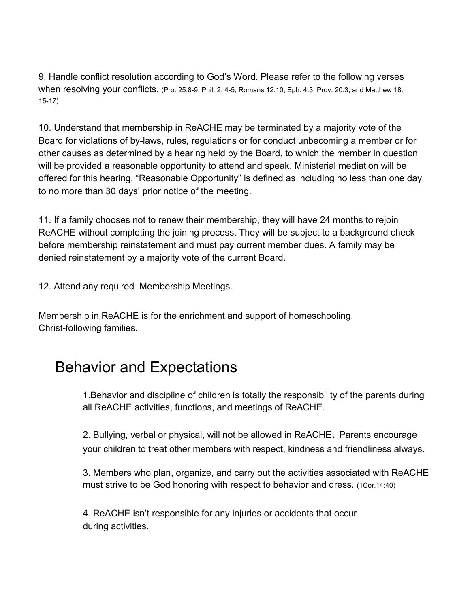9. Handle conflict resolution according to God's Word. Please refer to the following verses when resolving your conflicts. (Pro. 25:8-9, Phil. 2: 4-5, Romans 12:10, Eph. 4:3, Prov. 20:3, and Matthew 18: 15-17)

10. Understand that membership in ReACHE may be terminated by a majority vote of the Board for violations of by-laws, rules, regulations or for conduct unbecoming a member or for other causes as determined by a hearing held by the Board, to which the member in question will be provided a reasonable opportunity to attend and speak. Ministerial mediation will be offered for this hearing. "Reasonable Opportunity" is defined as including no less than one day to no more than 30 days' prior notice of the meeting.

11. If a family chooses not to renew their membership, they will have 24 months to rejoin ReACHE without completing the joining process. They will be subject to a background check before membership reinstatement and must pay current member dues. A family may be denied reinstatement by a majority vote of the current Board.

12. Attend any required Membership Meetings.

Membership in ReACHE is for the enrichment and support of homeschooling, Christ-following families.

### Behavior and Expectations

1.Behavior and discipline of children is totally the responsibility of the parents during all ReACHE activities, functions, and meetings of ReACHE.

2. Bullying, verbal or physical, will not be allowed in ReACHE. Parents encourage your children to treat other members with respect, kindness and friendliness always.

3. Members who plan, organize, and carry out the activities associated with ReACHE must strive to be God honoring with respect to behavior and dress. (1Cor.14:40)

4. ReACHE isn't responsible for any injuries or accidents that occur during activities.